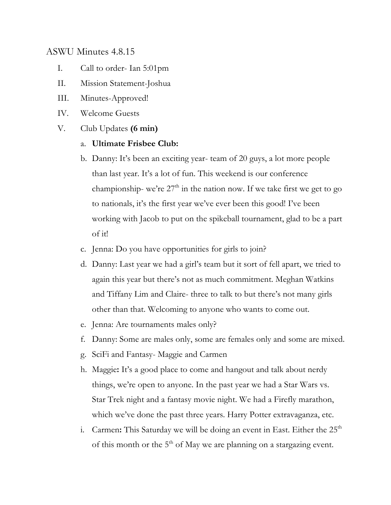# ASWU Minutes 4.8.15

- I. Call to order- Ian 5:01pm
- II. Mission Statement-Joshua
- III. Minutes-Approved!
- IV. Welcome Guests
- V. Club Updates **(6 min)**

### a. **Ultimate Frisbee Club:**

- b. Danny: It's been an exciting year- team of 20 guys, a lot more people than last year. It's a lot of fun. This weekend is our conference championship- we're  $27<sup>th</sup>$  in the nation now. If we take first we get to go to nationals, it's the first year we've ever been this good! I've been working with Jacob to put on the spikeball tournament, glad to be a part of it!
- c. Jenna: Do you have opportunities for girls to join?
- d. Danny: Last year we had a girl's team but it sort of fell apart, we tried to again this year but there's not as much commitment. Meghan Watkins and Tiffany Lim and Claire- three to talk to but there's not many girls other than that. Welcoming to anyone who wants to come out.
- e. Jenna: Are tournaments males only?
- f. Danny: Some are males only, some are females only and some are mixed.
- g. SciFi and Fantasy- Maggie and Carmen
- h. Maggie**:** It's a good place to come and hangout and talk about nerdy things, we're open to anyone. In the past year we had a Star Wars vs. Star Trek night and a fantasy movie night. We had a Firefly marathon, which we've done the past three years. Harry Potter extravaganza, etc.
- i. Carmen: This Saturday we will be doing an event in East. Either the 25<sup>th</sup> of this month or the  $5<sup>th</sup>$  of May we are planning on a stargazing event.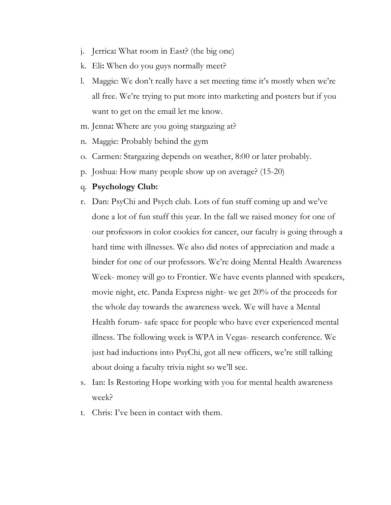- j. Jerrica**:** What room in East? (the big one)
- k. Eli**:** When do you guys normally meet?
- l. Maggie: We don't really have a set meeting time it's mostly when we're all free. We're trying to put more into marketing and posters but if you want to get on the email let me know.
- m. Jenna**:** Where are you going stargazing at?
- n. Maggie: Probably behind the gym
- o. Carmen: Stargazing depends on weather, 8:00 or later probably.
- p. Joshua: How many people show up on average? (15-20)
- q. **Psychology Club:**
- r. Dan: PsyChi and Psych club. Lots of fun stuff coming up and we've done a lot of fun stuff this year. In the fall we raised money for one of our professors in color cookies for cancer, our faculty is going through a hard time with illnesses. We also did notes of appreciation and made a binder for one of our professors. We're doing Mental Health Awareness Week- money will go to Frontier. We have events planned with speakers, movie night, etc. Panda Express night- we get 20% of the proceeds for the whole day towards the awareness week. We will have a Mental Health forum- safe space for people who have ever experienced mental illness. The following week is WPA in Vegas- research conference. We just had inductions into PsyChi, got all new officers, we're still talking about doing a faculty trivia night so we'll see.
- s. Ian: Is Restoring Hope working with you for mental health awareness week?
- t. Chris: I've been in contact with them.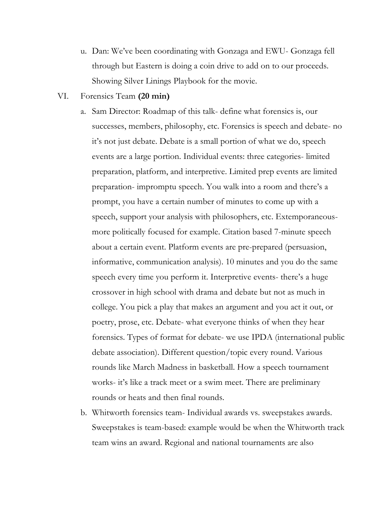- u. Dan: We've been coordinating with Gonzaga and EWU- Gonzaga fell through but Eastern is doing a coin drive to add on to our proceeds. Showing Silver Linings Playbook for the movie.
- VI. Forensics Team **(20 min)**
	- a. Sam Director: Roadmap of this talk- define what forensics is, our successes, members, philosophy, etc. Forensics is speech and debate- no it's not just debate. Debate is a small portion of what we do, speech events are a large portion. Individual events: three categories- limited preparation, platform, and interpretive. Limited prep events are limited preparation- impromptu speech. You walk into a room and there's a prompt, you have a certain number of minutes to come up with a speech, support your analysis with philosophers, etc. Extemporaneousmore politically focused for example. Citation based 7-minute speech about a certain event. Platform events are pre-prepared (persuasion, informative, communication analysis). 10 minutes and you do the same speech every time you perform it. Interpretive events- there's a huge crossover in high school with drama and debate but not as much in college. You pick a play that makes an argument and you act it out, or poetry, prose, etc. Debate- what everyone thinks of when they hear forensics. Types of format for debate- we use IPDA (international public debate association). Different question/topic every round. Various rounds like March Madness in basketball. How a speech tournament works- it's like a track meet or a swim meet. There are preliminary rounds or heats and then final rounds.
	- b. Whitworth forensics team- Individual awards vs. sweepstakes awards. Sweepstakes is team-based: example would be when the Whitworth track team wins an award. Regional and national tournaments are also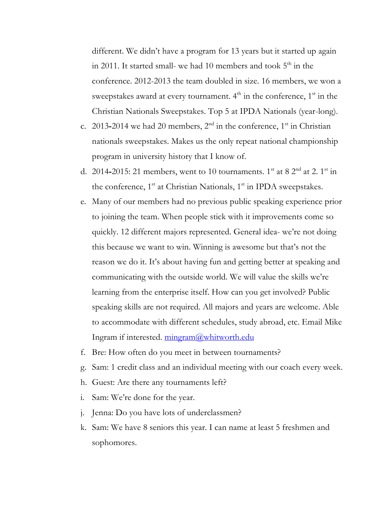different. We didn't have a program for 13 years but it started up again in 2011. It started small- we had 10 members and took  $5<sup>th</sup>$  in the conference. 2012-2013 the team doubled in size. 16 members, we won a sweepstakes award at every tournament.  $4<sup>th</sup>$  in the conference,  $1<sup>st</sup>$  in the Christian Nationals Sweepstakes. Top 5 at IPDA Nationals (year-long).

- c. 2013-2014 we had 20 members,  $2<sup>nd</sup>$  in the conference,  $1<sup>st</sup>$  in Christian nationals sweepstakes. Makes us the only repeat national championship program in university history that I know of.
- d. 2014-2015: 21 members, went to 10 tournaments. 1<sup>st</sup> at 8 2<sup>nd</sup> at 2. 1<sup>st</sup> in the conference, 1<sup>st</sup> at Christian Nationals, 1<sup>st</sup> in IPDA sweepstakes.
- e. Many of our members had no previous public speaking experience prior to joining the team. When people stick with it improvements come so quickly. 12 different majors represented. General idea- we're not doing this because we want to win. Winning is awesome but that's not the reason we do it. It's about having fun and getting better at speaking and communicating with the outside world. We will value the skills we're learning from the enterprise itself. How can you get involved? Public speaking skills are not required. All majors and years are welcome. Able to accommodate with different schedules, study abroad, etc. Email Mike Ingram if interested. mingram@whitworth.edu
- f. Bre: How often do you meet in between tournaments?
- g. Sam: 1 credit class and an individual meeting with our coach every week.
- h. Guest: Are there any tournaments left?
- i. Sam: We're done for the year.
- j. Jenna: Do you have lots of underclassmen?
- k. Sam: We have 8 seniors this year. I can name at least 5 freshmen and sophomores.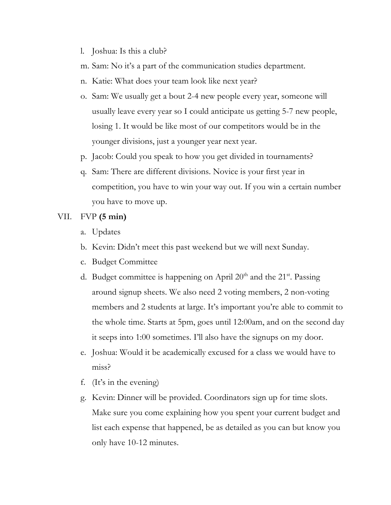- l. Joshua: Is this a club?
- m. Sam: No it's a part of the communication studies department.
- n. Katie: What does your team look like next year?
- o. Sam: We usually get a bout 2-4 new people every year, someone will usually leave every year so I could anticipate us getting 5-7 new people, losing 1. It would be like most of our competitors would be in the younger divisions, just a younger year next year.
- p. Jacob: Could you speak to how you get divided in tournaments?
- q. Sam: There are different divisions. Novice is your first year in competition, you have to win your way out. If you win a certain number you have to move up.

#### VII. FVP **(5 min)**

- a. Updates
- b. Kevin: Didn't meet this past weekend but we will next Sunday.
- c. Budget Committee
- d. Budget committee is happening on April  $20<sup>th</sup>$  and the  $21<sup>st</sup>$ . Passing around signup sheets. We also need 2 voting members, 2 non-voting members and 2 students at large. It's important you're able to commit to the whole time. Starts at 5pm, goes until 12:00am, and on the second day it seeps into 1:00 sometimes. I'll also have the signups on my door.
- e. Joshua: Would it be academically excused for a class we would have to miss?
- f. (It's in the evening)
- g. Kevin: Dinner will be provided. Coordinators sign up for time slots. Make sure you come explaining how you spent your current budget and list each expense that happened, be as detailed as you can but know you only have 10-12 minutes.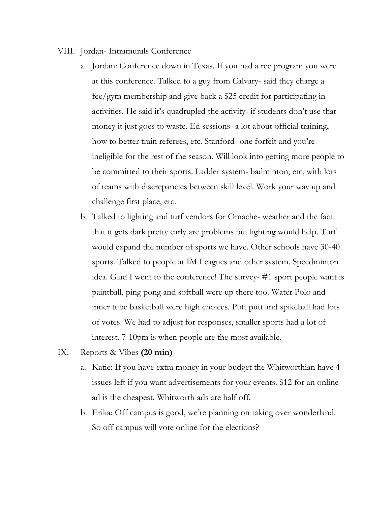- VIII. Jordan- Intramurals Conference
	- a. Jordan: Conference down in Texas. If you had a rec program you were at this conference. Talked to a guy from Calvary- said they charge a fee/gym membership and give back a \$25 credit for participating in activities. He said it's quadrupled the activity- if students don't use that money it just goes to waste. Ed sessions- a lot about official training, how to better train referees, etc. Stanford- one forfeit and you're ineligible for the rest of the season. Will look into getting more people to be committed to their sports. Ladder system- badminton, etc, with lots of teams with discrepancies between skill level. Work your way up and challenge first place, etc.
	- b. Talked to lighting and turf vendors for Omache- weather and the fact that it gets dark pretty early are problems but lighting would help. Turf would expand the number of sports we have. Other schools have 30-40 sports. Talked to people at IM Leagues and other system. Speedminton idea. Glad I went to the conference! The survey- #1 sport people want is paintball, ping pong and softball were up there too. Water Polo and inner tube basketball were high choices. Putt putt and spikeball had lots of votes. We had to adjust for responses, smaller sports had a lot of interest. 7-10pm is when people are the most available.
- IX. Reports & Vibes **(20 min)**
	- a. Katie: If you have extra money in your budget the Whitworthian have 4 issues left if you want advertisements for your events. \$12 for an online ad is the cheapest. Whitworth ads are half off.
	- b. Erika: Off campus is good, we're planning on taking over wonderland. So off campus will vote online for the elections?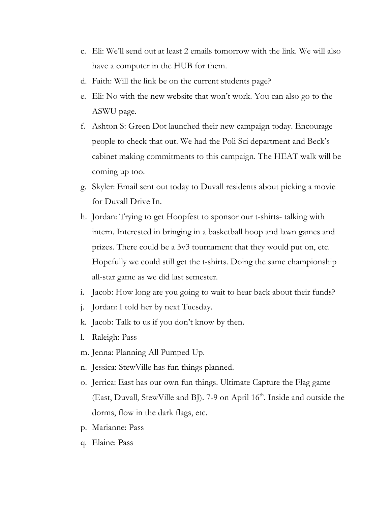- c. Eli: We'll send out at least 2 emails tomorrow with the link. We will also have a computer in the HUB for them.
- d. Faith: Will the link be on the current students page?
- e. Eli: No with the new website that won't work. You can also go to the ASWU page.
- f. Ashton S: Green Dot launched their new campaign today. Encourage people to check that out. We had the Poli Sci department and Beck's cabinet making commitments to this campaign. The HEAT walk will be coming up too.
- g. Skyler: Email sent out today to Duvall residents about picking a movie for Duvall Drive In.
- h. Jordan: Trying to get Hoopfest to sponsor our t-shirts- talking with intern. Interested in bringing in a basketball hoop and lawn games and prizes. There could be a 3v3 tournament that they would put on, etc. Hopefully we could still get the t-shirts. Doing the same championship all-star game as we did last semester.
- i. Jacob: How long are you going to wait to hear back about their funds?
- j. Jordan: I told her by next Tuesday.
- k. Jacob: Talk to us if you don't know by then.
- l. Raleigh: Pass
- m. Jenna: Planning All Pumped Up.
- n. Jessica: StewVille has fun things planned.
- o. Jerrica: East has our own fun things. Ultimate Capture the Flag game (East, Duvall, StewVille and BJ). 7-9 on April 16<sup>th</sup>. Inside and outside the dorms, flow in the dark flags, etc.
- p. Marianne: Pass
- q. Elaine: Pass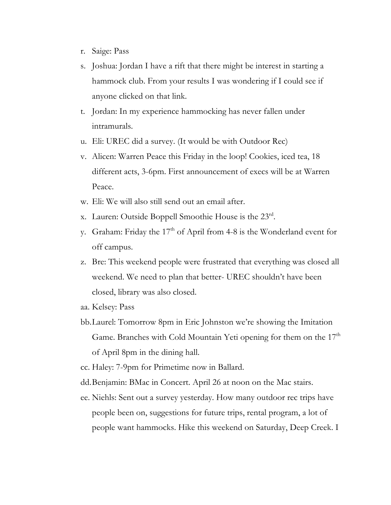- r. Saige: Pass
- s. Joshua: Jordan I have a rift that there might be interest in starting a hammock club. From your results I was wondering if I could see if anyone clicked on that link.
- t. Jordan: In my experience hammocking has never fallen under intramurals.
- u. Eli: UREC did a survey. (It would be with Outdoor Rec)
- v. Alicen: Warren Peace this Friday in the loop! Cookies, iced tea, 18 different acts, 3-6pm. First announcement of execs will be at Warren Peace.
- w. Eli: We will also still send out an email after.
- x. Lauren: Outside Boppell Smoothie House is the 23rd.
- y. Graham: Friday the 17<sup>th</sup> of April from 4-8 is the Wonderland event for off campus.
- z. Bre: This weekend people were frustrated that everything was closed all weekend. We need to plan that better- UREC shouldn't have been closed, library was also closed.
- aa. Kelsey: Pass
- bb.Laurel: Tomorrow 8pm in Eric Johnston we're showing the Imitation Game. Branches with Cold Mountain Yeti opening for them on the 17<sup>th</sup> of April 8pm in the dining hall.
- cc. Haley: 7-9pm for Primetime now in Ballard.
- dd.Benjamin: BMac in Concert. April 26 at noon on the Mac stairs.
- ee. Niehls: Sent out a survey yesterday. How many outdoor rec trips have people been on, suggestions for future trips, rental program, a lot of people want hammocks. Hike this weekend on Saturday, Deep Creek. I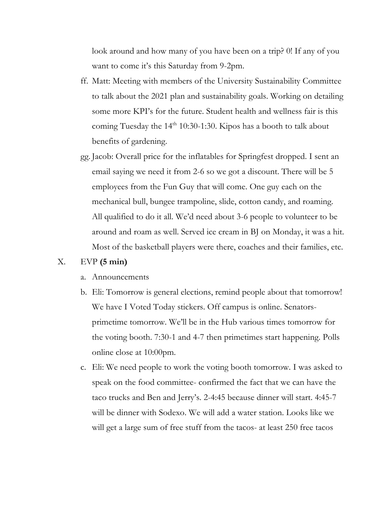look around and how many of you have been on a trip? 0! If any of you want to come it's this Saturday from 9-2pm.

- ff. Matt: Meeting with members of the University Sustainability Committee to talk about the 2021 plan and sustainability goals. Working on detailing some more KPI's for the future. Student health and wellness fair is this coming Tuesday the  $14<sup>th</sup> 10:30-1:30$ . Kipos has a booth to talk about benefits of gardening.
- gg. Jacob: Overall price for the inflatables for Springfest dropped. I sent an email saying we need it from 2-6 so we got a discount. There will be 5 employees from the Fun Guy that will come. One guy each on the mechanical bull, bungee trampoline, slide, cotton candy, and roaming. All qualified to do it all. We'd need about 3-6 people to volunteer to be around and roam as well. Served ice cream in BJ on Monday, it was a hit. Most of the basketball players were there, coaches and their families, etc.

### X. EVP **(5 min)**

- a. Announcements
- b. Eli: Tomorrow is general elections, remind people about that tomorrow! We have I Voted Today stickers. Off campus is online. Senatorsprimetime tomorrow. We'll be in the Hub various times tomorrow for the voting booth. 7:30-1 and 4-7 then primetimes start happening. Polls online close at 10:00pm.
- c. Eli: We need people to work the voting booth tomorrow. I was asked to speak on the food committee- confirmed the fact that we can have the taco trucks and Ben and Jerry's. 2-4:45 because dinner will start. 4:45-7 will be dinner with Sodexo. We will add a water station. Looks like we will get a large sum of free stuff from the tacos- at least 250 free tacos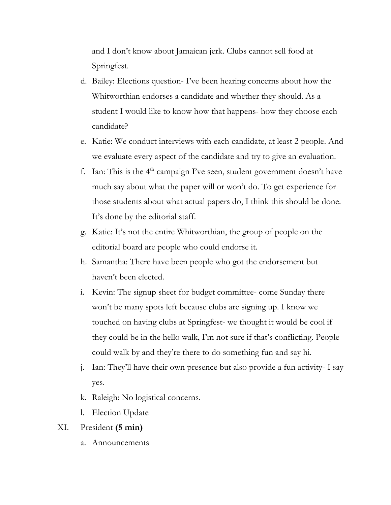and I don't know about Jamaican jerk. Clubs cannot sell food at Springfest.

- d. Bailey: Elections question- I've been hearing concerns about how the Whitworthian endorses a candidate and whether they should. As a student I would like to know how that happens- how they choose each candidate?
- e. Katie: We conduct interviews with each candidate, at least 2 people. And we evaluate every aspect of the candidate and try to give an evaluation.
- f. Ian: This is the  $4<sup>th</sup>$  campaign I've seen, student government doesn't have much say about what the paper will or won't do. To get experience for those students about what actual papers do, I think this should be done. It's done by the editorial staff.
- g. Katie: It's not the entire Whitworthian, the group of people on the editorial board are people who could endorse it.
- h. Samantha: There have been people who got the endorsement but haven't been elected.
- i. Kevin: The signup sheet for budget committee- come Sunday there won't be many spots left because clubs are signing up. I know we touched on having clubs at Springfest- we thought it would be cool if they could be in the hello walk, I'm not sure if that's conflicting. People could walk by and they're there to do something fun and say hi.
- j. Ian: They'll have their own presence but also provide a fun activity- I say yes.
- k. Raleigh: No logistical concerns.
- l. Election Update

# XI. President **(5 min)**

a. Announcements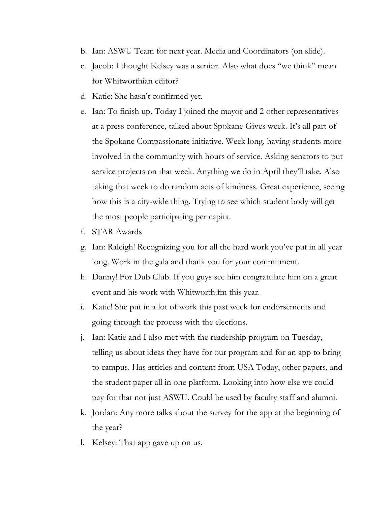- b. Ian: ASWU Team for next year. Media and Coordinators (on slide).
- c. Jacob: I thought Kelsey was a senior. Also what does "we think" mean for Whitworthian editor?
- d. Katie: She hasn't confirmed yet.
- e. Ian: To finish up. Today I joined the mayor and 2 other representatives at a press conference, talked about Spokane Gives week. It's all part of the Spokane Compassionate initiative. Week long, having students more involved in the community with hours of service. Asking senators to put service projects on that week. Anything we do in April they'll take. Also taking that week to do random acts of kindness. Great experience, seeing how this is a city-wide thing. Trying to see which student body will get the most people participating per capita.
- f. STAR Awards
- g. Ian: Raleigh! Recognizing you for all the hard work you've put in all year long. Work in the gala and thank you for your commitment.
- h. Danny! For Dub Club. If you guys see him congratulate him on a great event and his work with Whitworth.fm this year.
- i. Katie! She put in a lot of work this past week for endorsements and going through the process with the elections.
- j. Ian: Katie and I also met with the readership program on Tuesday, telling us about ideas they have for our program and for an app to bring to campus. Has articles and content from USA Today, other papers, and the student paper all in one platform. Looking into how else we could pay for that not just ASWU. Could be used by faculty staff and alumni.
- k. Jordan: Any more talks about the survey for the app at the beginning of the year?
- l. Kelsey: That app gave up on us.